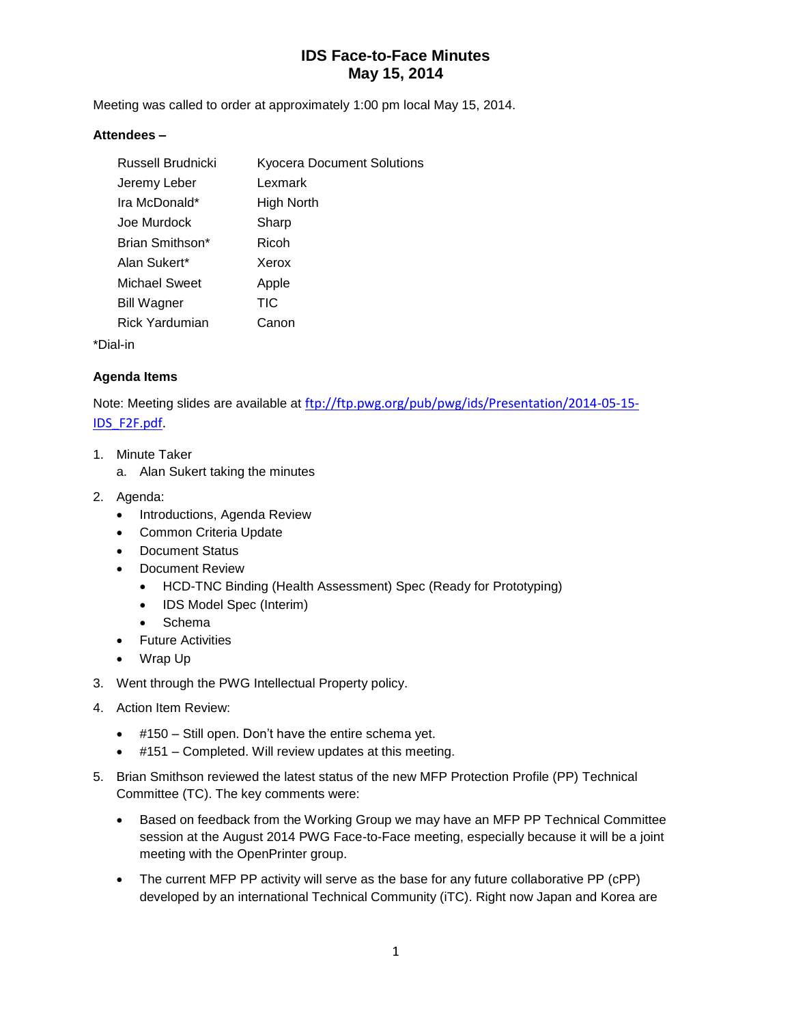Meeting was called to order at approximately 1:00 pm local May 15, 2014.

#### **Attendees –**

| Russell Brudnicki     | <b>Kyocera Document Solutions</b> |
|-----------------------|-----------------------------------|
| Jeremy Leber          | Lexmark                           |
| Ira McDonald*         | High North                        |
| Joe Murdock           | Sharp                             |
| Brian Smithson*       | Ricoh                             |
| Alan Sukert*          | Xerox                             |
| Michael Sweet         | Apple                             |
| <b>Bill Wagner</b>    | TIC                               |
| <b>Rick Yardumian</b> | Canon                             |
| . I in                |                                   |

\*Dial-in

#### **Agenda Items**

Note: Meeting slides are available at [ftp://ftp.pwg.org/pub/pwg/ids/Presentation/2014-05-15-](ftp://ftp.pwg.org/pub/pwg/ids/Presentation/2014-05-15-IDS_F2F.pdf) [IDS\\_F2F.pdf.](ftp://ftp.pwg.org/pub/pwg/ids/Presentation/2014-05-15-IDS_F2F.pdf)

- 1. Minute Taker
	- a. Alan Sukert taking the minutes
- 2. Agenda:
	- Introductions, Agenda Review
	- Common Criteria Update
	- Document Status
	- Document Review
		- HCD-TNC Binding (Health Assessment) Spec (Ready for Prototyping)
		- IDS Model Spec (Interim)
		- Schema
	- **•** Future Activities
	- Wrap Up
- 3. Went through the PWG Intellectual Property policy.
- 4. Action Item Review:
	- #150 Still open. Don't have the entire schema yet.
	- #151 Completed. Will review updates at this meeting.
- 5. Brian Smithson reviewed the latest status of the new MFP Protection Profile (PP) Technical Committee (TC). The key comments were:
	- Based on feedback from the Working Group we may have an MFP PP Technical Committee session at the August 2014 PWG Face-to-Face meeting, especially because it will be a joint meeting with the OpenPrinter group.
	- The current MFP PP activity will serve as the base for any future collaborative PP (cPP) developed by an international Technical Community (iTC). Right now Japan and Korea are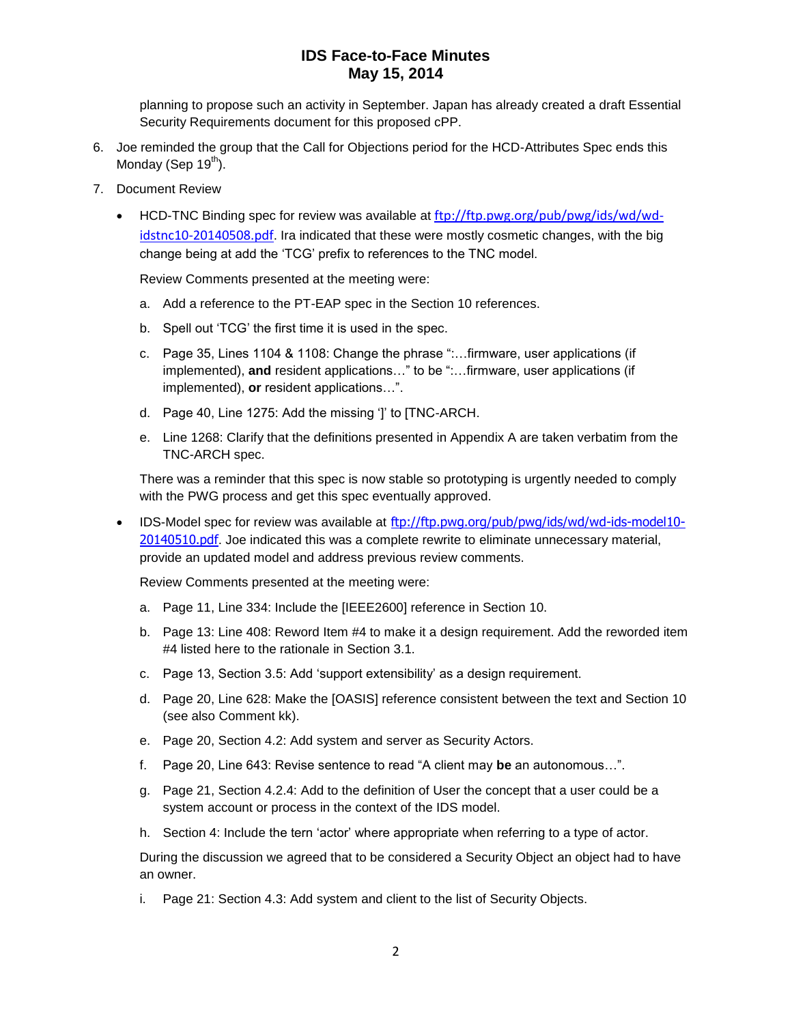planning to propose such an activity in September. Japan has already created a draft Essential Security Requirements document for this proposed cPP.

- 6. Joe reminded the group that the Call for Objections period for the HCD-Attributes Spec ends this Monday (Sep  $19<sup>th</sup>$ ).
- 7. Document Review
	- HCD-TNC Binding spec for review was available at [ftp://ftp.pwg.org/pub/pwg/ids/wd/wd](ftp://ftp.pwg.org/pub/pwg/ids/wd/wd-idstnc10-20140508.pdf)[idstnc10-20140508.pdf](ftp://ftp.pwg.org/pub/pwg/ids/wd/wd-idstnc10-20140508.pdf). Ira indicated that these were mostly cosmetic changes, with the big change being at add the 'TCG' prefix to references to the TNC model.

Review Comments presented at the meeting were:

- a. Add a reference to the PT-EAP spec in the Section 10 references.
- b. Spell out 'TCG' the first time it is used in the spec.
- c. Page 35, Lines 1104 & 1108: Change the phrase ":…firmware, user applications (if implemented), and resident applications..." to be ":...firmware, user applications (if implemented), **or** resident applications…".
- d. Page 40, Line 1275: Add the missing ']' to [TNC-ARCH.
- e. Line 1268: Clarify that the definitions presented in Appendix A are taken verbatim from the TNC-ARCH spec.

There was a reminder that this spec is now stable so prototyping is urgently needed to comply with the PWG process and get this spec eventually approved.

• IDS-Model spec for review was available at [ftp://ftp.pwg.org/pub/pwg/ids/wd/wd-ids-model10-](ftp://ftp.pwg.org/pub/pwg/ids/wd/wd-ids-model10-20140510.pdf) [20140510.pdf](ftp://ftp.pwg.org/pub/pwg/ids/wd/wd-ids-model10-20140510.pdf). Joe indicated this was a complete rewrite to eliminate unnecessary material, provide an updated model and address previous review comments.

Review Comments presented at the meeting were:

- a. Page 11, Line 334: Include the [IEEE2600] reference in Section 10.
- b. Page 13: Line 408: Reword Item #4 to make it a design requirement. Add the reworded item #4 listed here to the rationale in Section 3.1.
- c. Page 13, Section 3.5: Add 'support extensibility' as a design requirement.
- d. Page 20, Line 628: Make the [OASIS] reference consistent between the text and Section 10 (see also Comment kk).
- e. Page 20, Section 4.2: Add system and server as Security Actors.
- f. Page 20, Line 643: Revise sentence to read "A client may **be** an autonomous…".
- g. Page 21, Section 4.2.4: Add to the definition of User the concept that a user could be a system account or process in the context of the IDS model.
- h. Section 4: Include the tern 'actor' where appropriate when referring to a type of actor.

During the discussion we agreed that to be considered a Security Object an object had to have an owner.

i. Page 21: Section 4.3: Add system and client to the list of Security Objects.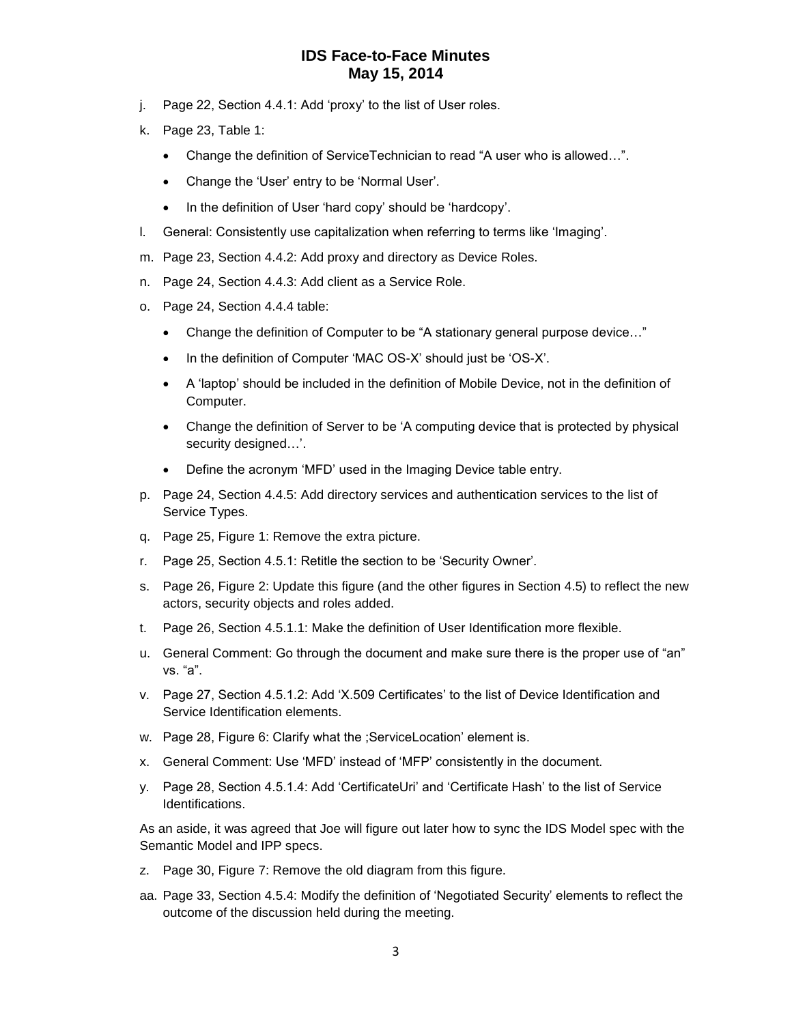- j. Page 22, Section 4.4.1: Add 'proxy' to the list of User roles.
- k. Page 23, Table 1:
	- Change the definition of ServiceTechnician to read "A user who is allowed…".
	- Change the 'User' entry to be 'Normal User'.
	- In the definition of User 'hard copy' should be 'hardcopy'.
- l. General: Consistently use capitalization when referring to terms like 'Imaging'.
- m. Page 23, Section 4.4.2: Add proxy and directory as Device Roles.
- n. Page 24, Section 4.4.3: Add client as a Service Role.
- o. Page 24, Section 4.4.4 table:
	- Change the definition of Computer to be "A stationary general purpose device…"
	- In the definition of Computer 'MAC OS-X' should just be 'OS-X'.
	- A 'laptop' should be included in the definition of Mobile Device, not in the definition of Computer.
	- Change the definition of Server to be 'A computing device that is protected by physical security designed…'.
	- Define the acronym 'MFD' used in the Imaging Device table entry.
- p. Page 24, Section 4.4.5: Add directory services and authentication services to the list of Service Types.
- q. Page 25, Figure 1: Remove the extra picture.
- r. Page 25, Section 4.5.1: Retitle the section to be 'Security Owner'.
- s. Page 26, Figure 2: Update this figure (and the other figures in Section 4.5) to reflect the new actors, security objects and roles added.
- t. Page 26, Section 4.5.1.1: Make the definition of User Identification more flexible.
- u. General Comment: Go through the document and make sure there is the proper use of "an" vs. "a".
- v. Page 27, Section 4.5.1.2: Add 'X.509 Certificates' to the list of Device Identification and Service Identification elements.
- w. Page 28, Figure 6: Clarify what the ;ServiceLocation' element is.
- x. General Comment: Use 'MFD' instead of 'MFP' consistently in the document.
- y. Page 28, Section 4.5.1.4: Add 'CertificateUri' and 'Certificate Hash' to the list of Service Identifications.

As an aside, it was agreed that Joe will figure out later how to sync the IDS Model spec with the Semantic Model and IPP specs.

- z. Page 30, Figure 7: Remove the old diagram from this figure.
- aa. Page 33, Section 4.5.4: Modify the definition of 'Negotiated Security' elements to reflect the outcome of the discussion held during the meeting.